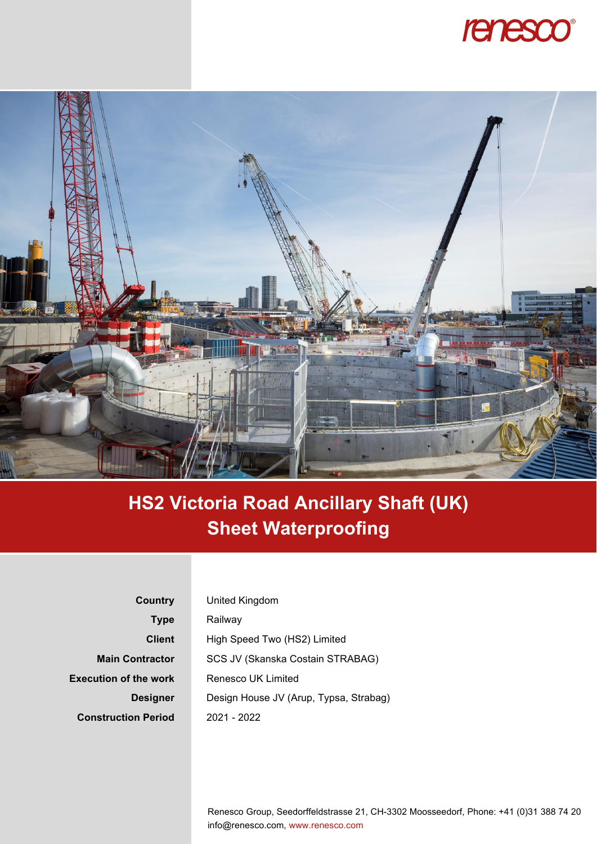



## **HS2 Victoria Road Ancillary Shaft (UK) Sheet Waterproofing**

**Country Type Client Main Contractor Execution of the work Designer Construction Period**  United Kingdom Railway High Speed Two (HS2) Limited SCS JV (Skanska Costain STRABAG) Renesco UK Limited Design House JV (Arup, Typsa, Strabag) 2021 - 2022